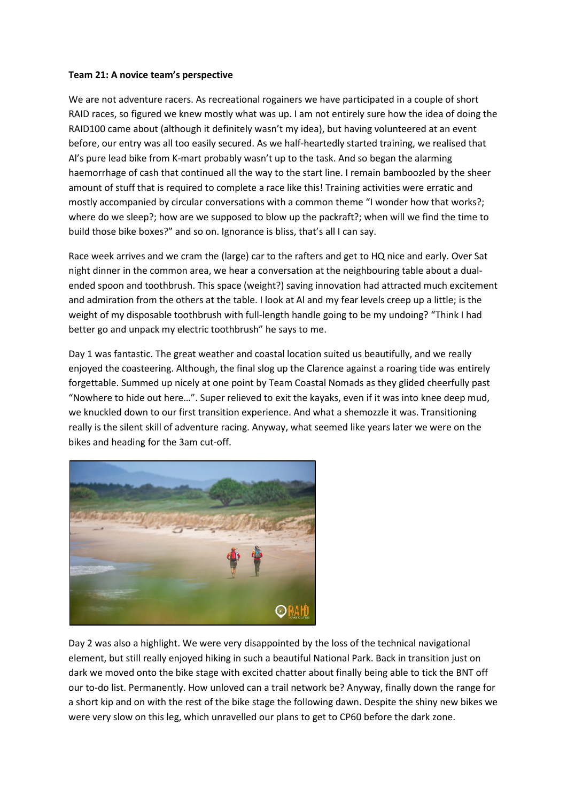## **Team 21: A novice team's perspective**

We are not adventure racers. As recreational rogainers we have participated in a couple of short RAID races, so figured we knew mostly what was up. I am not entirely sure how the idea of doing the RAID100 came about (although it definitely wasn't my idea), but having volunteered at an event before, our entry was all too easily secured. As we half-heartedly started training, we realised that Al's pure lead bike from K-mart probably wasn't up to the task. And so began the alarming haemorrhage of cash that continued all the way to the start line. I remain bamboozled by the sheer amount of stuff that is required to complete a race like this! Training activities were erratic and mostly accompanied by circular conversations with a common theme "I wonder how that works?; where do we sleep?; how are we supposed to blow up the packraft?; when will we find the time to build those bike boxes?" and so on. Ignorance is bliss, that's all I can say.

Race week arrives and we cram the (large) car to the rafters and get to HQ nice and early. Over Sat night dinner in the common area, we hear a conversation at the neighbouring table about a dualended spoon and toothbrush. This space (weight?) saving innovation had attracted much excitement and admiration from the others at the table. I look at Al and my fear levels creep up a little; is the weight of my disposable toothbrush with full-length handle going to be my undoing? "Think I had better go and unpack my electric toothbrush" he says to me.

Day 1 was fantastic. The great weather and coastal location suited us beautifully, and we really enjoyed the coasteering. Although, the final slog up the Clarence against a roaring tide was entirely forgettable. Summed up nicely at one point by Team Coastal Nomads as they glided cheerfully past "Nowhere to hide out here…". Super relieved to exit the kayaks, even if it was into knee deep mud, we knuckled down to our first transition experience. And what a shemozzle it was. Transitioning really is the silent skill of adventure racing. Anyway, what seemed like years later we were on the bikes and heading for the 3am cut-off.



Day 2 was also a highlight. We were very disappointed by the loss of the technical navigational element, but still really enjoyed hiking in such a beautiful National Park. Back in transition just on dark we moved onto the bike stage with excited chatter about finally being able to tick the BNT off our to-do list. Permanently. How unloved can a trail network be? Anyway, finally down the range for a short kip and on with the rest of the bike stage the following dawn. Despite the shiny new bikes we were very slow on this leg, which unravelled our plans to get to CP60 before the dark zone.